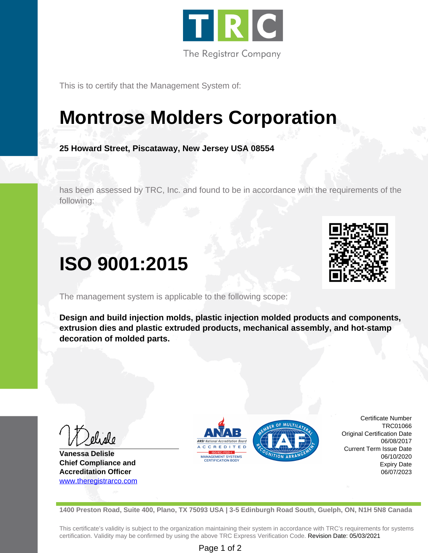

This is to certify that the Management System of:

## **Montrose Molders Corporation**

**25 Howard Street, Piscataway, New Jersey USA 08554**

has been assessed by TRC, Inc. and found to be in accordance with the requirements of the following:

## **ISO 9001:2015**

The management system is applicable to the following scope:

**Design and build injection molds, plastic injection molded products and components, extrusion dies and plastic extruded products, mechanical assembly, and hot-stamp decoration of molded parts.**

**Vanessa Delisle Chief Compliance and Accreditation Officer** <www.theregistrarco.com>



Certificate Number Original Certification Date Current Term Issue Date

TRC01066

06/08/2017

06/10/2020 Expiry Date 06/07/2023

**1400 Preston Road, Suite 400, Plano, TX 75093 USA | 3-5 Edinburgh Road South, Guelph, ON, N1H 5N8 Canada**

This certificate's validity is subject to the organization maintaining their system in accordance with TRC's requirements for systems certification. Validity may be confirmed by using the above TRC Express Verification Code. Revision Date: 05/03/2021